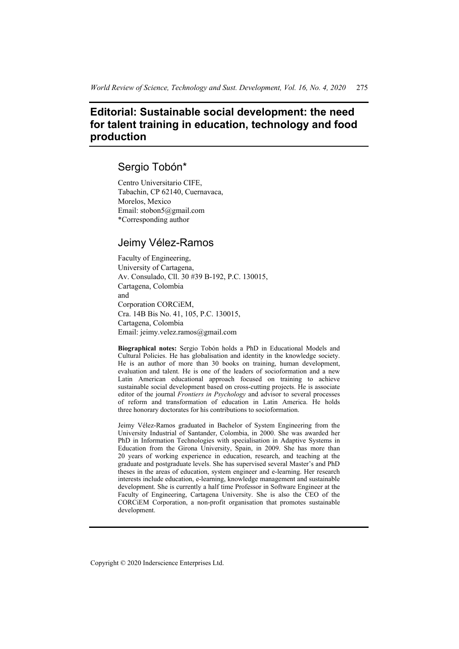# **Editorial: Sustainable social development: the need for talent training in education, technology and food production**

## Sergio Tobón\*

Centro Universitario CIFE, Tabachin, CP 62140, Cuernavaca, Morelos, Mexico Email: stobon5@gmail.com \*Corresponding author

### Jeimy Vélez-Ramos

Faculty of Engineering, University of Cartagena, Av. Consulado, Cll. 30 #39 B-192, P.C. 130015, Cartagena, Colombia and Corporation CORCiEM, Cra. 14B Bis No. 41, 105, P.C. 130015, Cartagena, Colombia Email: jeimy.velez.ramos@gmail.com

**Biographical notes:** Sergio Tobón holds a PhD in Educational Models and Cultural Policies. He has globalisation and identity in the knowledge society. He is an author of more than 30 books on training, human development, evaluation and talent. He is one of the leaders of socioformation and a new Latin American educational approach focused on training to achieve sustainable social development based on cross-cutting projects. He is associate editor of the journal *Frontiers in Psychology* and advisor to several processes of reform and transformation of education in Latin America. He holds three honorary doctorates for his contributions to socioformation.

Jeimy Vélez-Ramos graduated in Bachelor of System Engineering from the University Industrial of Santander, Colombia, in 2000. She was awarded her PhD in Information Technologies with specialisation in Adaptive Systems in Education from the Girona University, Spain, in 2009. She has more than 20 years of working experience in education, research, and teaching at the graduate and postgraduate levels. She has supervised several Master's and PhD theses in the areas of education, system engineer and e-learning. Her research interests include education, e-learning, knowledge management and sustainable development. She is currently a half time Professor in Software Engineer at the Faculty of Engineering, Cartagena University. She is also the CEO of the CORCiEM Corporation, a non-profit organisation that promotes sustainable development.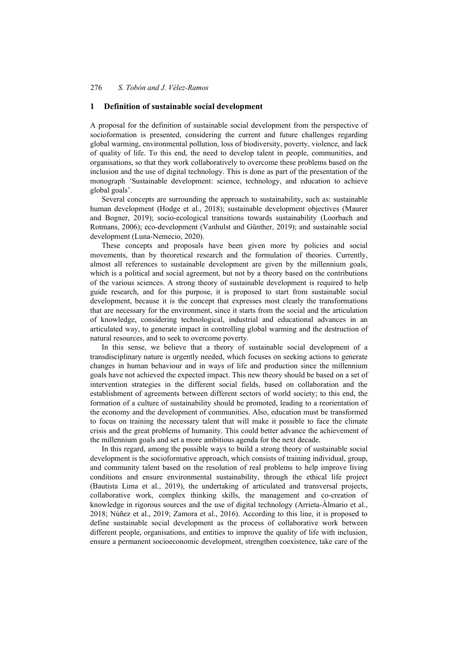### **1 Definition of sustainable social development**

A proposal for the definition of sustainable social development from the perspective of socioformation is presented, considering the current and future challenges regarding global warming, environmental pollution, loss of biodiversity, poverty, violence, and lack of quality of life. To this end, the need to develop talent in people, communities, and organisations, so that they work collaboratively to overcome these problems based on the inclusion and the use of digital technology. This is done as part of the presentation of the monograph 'Sustainable development: science, technology, and education to achieve global goals'.

Several concepts are surrounding the approach to sustainability, such as: sustainable human development (Hodge et al., 2018); sustainable development objectives (Maurer and Bogner, 2019); socio-ecological transitions towards sustainability (Loorbach and Rotmans, 2006); eco-development (Vanhulst and Günther, 2019); and sustainable social development (Luna-Nemecio, 2020).

These concepts and proposals have been given more by policies and social movements, than by theoretical research and the formulation of theories. Currently, almost all references to sustainable development are given by the millennium goals, which is a political and social agreement, but not by a theory based on the contributions of the various sciences. A strong theory of sustainable development is required to help guide research, and for this purpose, it is proposed to start from sustainable social development, because it is the concept that expresses most clearly the transformations that are necessary for the environment, since it starts from the social and the articulation of knowledge, considering technological, industrial and educational advances in an articulated way, to generate impact in controlling global warming and the destruction of natural resources, and to seek to overcome poverty.

In this sense, we believe that a theory of sustainable social development of a transdisciplinary nature is urgently needed, which focuses on seeking actions to generate changes in human behaviour and in ways of life and production since the millennium goals have not achieved the expected impact. This new theory should be based on a set of intervention strategies in the different social fields, based on collaboration and the establishment of agreements between different sectors of world society; to this end, the formation of a culture of sustainability should be promoted, leading to a reorientation of the economy and the development of communities. Also, education must be transformed to focus on training the necessary talent that will make it possible to face the climate crisis and the great problems of humanity. This could better advance the achievement of the millennium goals and set a more ambitious agenda for the next decade.

In this regard, among the possible ways to build a strong theory of sustainable social development is the socioformative approach, which consists of training individual, group, and community talent based on the resolution of real problems to help improve living conditions and ensure environmental sustainability, through the ethical life project (Bautista Lima et al., 2019), the undertaking of articulated and transversal projects, collaborative work, complex thinking skills, the management and co-creation of knowledge in rigorous sources and the use of digital technology (Arrieta-Álmario et al., 2018; Núñez et al., 2019; Zamora et al., 2016). According to this line, it is proposed to define sustainable social development as the process of collaborative work between different people, organisations, and entities to improve the quality of life with inclusion, ensure a permanent socioeconomic development, strengthen coexistence, take care of the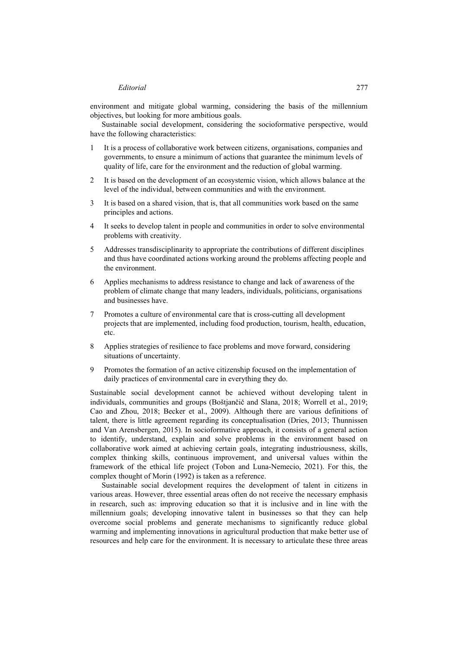### *Editorial* 277

environment and mitigate global warming, considering the basis of the millennium objectives, but looking for more ambitious goals.

Sustainable social development, considering the socioformative perspective, would have the following characteristics:

- 1 It is a process of collaborative work between citizens, organisations, companies and governments, to ensure a minimum of actions that guarantee the minimum levels of quality of life, care for the environment and the reduction of global warming.
- 2 It is based on the development of an ecosystemic vision, which allows balance at the level of the individual, between communities and with the environment.
- 3 It is based on a shared vision, that is, that all communities work based on the same principles and actions.
- 4 It seeks to develop talent in people and communities in order to solve environmental problems with creativity.
- 5 Addresses transdisciplinarity to appropriate the contributions of different disciplines and thus have coordinated actions working around the problems affecting people and the environment.
- 6 Applies mechanisms to address resistance to change and lack of awareness of the problem of climate change that many leaders, individuals, politicians, organisations and businesses have.
- 7 Promotes a culture of environmental care that is cross-cutting all development projects that are implemented, including food production, tourism, health, education, etc.
- 8 Applies strategies of resilience to face problems and move forward, considering situations of uncertainty.
- 9 Promotes the formation of an active citizenship focused on the implementation of daily practices of environmental care in everything they do.

Sustainable social development cannot be achieved without developing talent in individuals, communities and groups (Boštjančič and Slana, 2018; Worrell et al., 2019; Cao and Zhou, 2018; Becker et al., 2009). Although there are various definitions of talent, there is little agreement regarding its conceptualisation (Dries, 2013; Thunnissen and Van Arensbergen, 2015). In socioformative approach, it consists of a general action to identify, understand, explain and solve problems in the environment based on collaborative work aimed at achieving certain goals, integrating industriousness, skills, complex thinking skills, continuous improvement, and universal values within the framework of the ethical life project (Tobon and Luna-Nemecio, 2021). For this, the complex thought of Morin (1992) is taken as a reference.

Sustainable social development requires the development of talent in citizens in various areas. However, three essential areas often do not receive the necessary emphasis in research, such as: improving education so that it is inclusive and in line with the millennium goals; developing innovative talent in businesses so that they can help overcome social problems and generate mechanisms to significantly reduce global warming and implementing innovations in agricultural production that make better use of resources and help care for the environment. It is necessary to articulate these three areas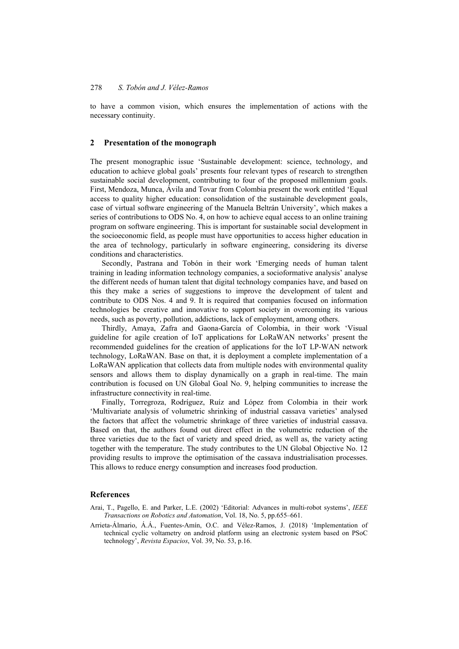to have a common vision, which ensures the implementation of actions with the necessary continuity.

#### **2 Presentation of the monograph**

The present monographic issue 'Sustainable development: science, technology, and education to achieve global goals' presents four relevant types of research to strengthen sustainable social development, contributing to four of the proposed millennium goals. First, Mendoza, Munca, Ávila and Tovar from Colombia present the work entitled 'Equal access to quality higher education: consolidation of the sustainable development goals, case of virtual software engineering of the Manuela Beltrán University', which makes a series of contributions to ODS No. 4, on how to achieve equal access to an online training program on software engineering. This is important for sustainable social development in the socioeconomic field, as people must have opportunities to access higher education in the area of technology, particularly in software engineering, considering its diverse conditions and characteristics.

Secondly, Pastrana and Tobón in their work 'Emerging needs of human talent training in leading information technology companies, a socioformative analysis' analyse the different needs of human talent that digital technology companies have, and based on this they make a series of suggestions to improve the development of talent and contribute to ODS Nos. 4 and 9. It is required that companies focused on information technologies be creative and innovative to support society in overcoming its various needs, such as poverty, pollution, addictions, lack of employment, among others.

Thirdly, Amaya, Zafra and Gaona-García of Colombia, in their work 'Visual guideline for agile creation of IoT applications for LoRaWAN networks' present the recommended guidelines for the creation of applications for the IoT LP-WAN network technology, LoRaWAN. Base on that, it is deployment a complete implementation of a LoRaWAN application that collects data from multiple nodes with environmental quality sensors and allows them to display dynamically on a graph in real-time. The main contribution is focused on UN Global Goal No. 9, helping communities to increase the infrastructure connectivity in real-time.

Finally, Torregroza, Rodríguez, Ruíz and López from Colombia in their work 'Multivariate analysis of volumetric shrinking of industrial cassava varieties' analysed the factors that affect the volumetric shrinkage of three varieties of industrial cassava. Based on that, the authors found out direct effect in the volumetric reduction of the three varieties due to the fact of variety and speed dried, as well as, the variety acting together with the temperature. The study contributes to the UN Global Objective No. 12 providing results to improve the optimisation of the cassava industrialisation processes. This allows to reduce energy consumption and increases food production.

#### **References**

- Arai, T., Pagello, E. and Parker, L.E. (2002) 'Editorial: Advances in multi-robot systems', *IEEE Transactions on Robotics and Automation*, Vol. 18, No. 5, pp.655–661.
- Arrieta-Álmario, Á.Á., Fuentes-Amín, O.C. and Vélez-Ramos, J. (2018) 'Implementation of technical cyclic voltametry on android platform using an electronic system based on PSoC technology', *Revista Espacios*, Vol. 39, No. 53, p.16.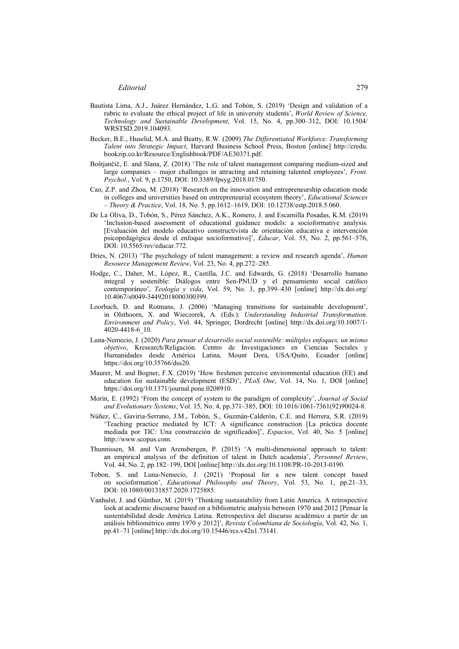- Bautista Lima, A.J., Juárez Hernández, L.G. and Tobón, S. (2019) 'Design and validation of a rubric to evaluate the ethical project of life in university students', *World Review of Science, Technology and Sustainable Development*, Vol. 15, No. 4, pp.300–312, DOI: 10.1504/ WRSTSD.2019.104093.
- Becker, B.E., Huselid, M.A. and Beatty, R.W. (2009) *The Differentiated Workforce. Transforming Talent into Strategic Impact*, Harvard Business School Press, Boston [online] http://credu. bookzip.co.kr/Resource/Englishbook/PDF/AE30371.pdf.
- Boštjančič, E. and Slana, Z. (2018) 'The role of talent management comparing medium-sized and large companies – major challenges in attracting and retaining talented employees', *Front. Psychol.*, Vol. 9, p.1750, DOI: 10.3389/fpsyg.2018.01750.
- Cao, Z.P. and Zhou, M. (2018) 'Research on the innovation and entrepreneurship education mode in colleges and universities based on entrepreneurial ecosystem theory', *Educational Sciences – Theory & Practice*, Vol. 18, No. 5, pp.1612–1619, DOI: 10.12738/estp.2018.5.060.
- De La Oliva, D., Tobón, S., Pérez Sánchez, A.K., Romero, J. and Escamilla Posadas, K.M. (2019) 'Inclusion-based assessment of educational guidance models: a socioformative analysis. [Evaluación del modelo educativo constructivista de orientación educativa e intervención psicopedagógica desde el enfoque socioformativo]', *Educar*, Vol. 55, No. 2, pp.561–576, DOI: 10.5565/rev/educar.772.
- Dries, N. (2013) 'The psychology of talent management: a review and research agenda', *Human Resource Management Review*, Vol. 23, No. 4, pp.272–285.
- Hodge, C., Daher, M., López, R., Castilla, J.C. and Edwards, G. (2018) 'Desarrollo humano integral y sostenible: Diálogos entre Sen-PNUD y el pensamiento social católico contemporáneo', *Teología y vida*, Vol. 59, No. 3, pp.399–430 [online] http://dx.doi.org/ 10.4067/s0049-34492018000300399.
- Loorbach, D. and Rotmans, J. (2006) 'Managing transitions for sustainable development', in Olsthoorn, X. and Wieczorek, A. (Eds.): *Understanding Industrial Transformation. Environment and Policy*, Vol. 44, Springer, Dordrecht [online] http://dx.doi.org/10.1007/1- 4020-4418-6\_10.
- Luna-Nemecio, J. (2020) *Para pensar el desarrollo social sostenible: múltiples enfoques, un mismo objetivo*, Kresearch/Religación. Centro de Investigaciones en Ciencias Sociales y Humanidades desde América Latina, Mount Dora, USA/Quito, Ecuador [online] https://doi.org/10.35766/dss20.
- Maurer, M. and Bogner, F.X. (2019) 'How freshmen perceive environmental education (EE) and education for sustainable development (ESD)', *PLoS One*, Vol. 14, No. 1, DOI [online] https://doi.org/10.1371/journal.pone.0208910.
- Morin, E. (1992) 'From the concept of system to the paradigm of complexity', *Journal of Social and Evolutionary Systems*, Vol. 15, No. 4, pp.371–385, DOI: 10.1016/1061-7361(92)90024-8.
- Núñez, C., Gaviria-Serrano, J.M., Tobón, S., Guzmán-Calderón, C.E. and Herrera, S.R. (2019) 'Teaching practice mediated by ICT: A significance construction [La práctica docente mediada por TIC: Una construcción de significados]', *Espacios*, Vol. 40, No. 5 [online] http://www.scopus.com.
- Thunnissen, M. and Van Arensbergen, P. (2015) 'A multi-dimensional approach to talent: an empirical analysis of the definition of talent in Dutch academia', *Personnel Review*, Vol. 44, No. 2, pp.182–199, DOI [online] http://dx.doi.org/10.1108/PR-10-2013-0190.
- Tobon, S. and Luna-Nemecio, J. (2021) 'Proposal for a new talent concept based on socioformation', *Educational Philosophy and Theory*, Vol. 53, No. 1, pp.21–33, DOI: 10.1080/00131857.2020.1725885.
- Vanhulst, J. and Günther, M. (2019) 'Thinking sustainability from Latin America. A retrospective look at academic discourse based on a bibliometric analysis between 1970 and 2012 [Pensar la sustentabilidad desde América Latina. Retrospectiva del discurso académico a partir de un análisis bibliométrico entre 1970 y 2012]', *Revista Colombiana de Sociología*, Vol. 42, No. 1, pp.41–71 [online] http://dx.doi.org/10.15446/rcs.v42n1.73141.